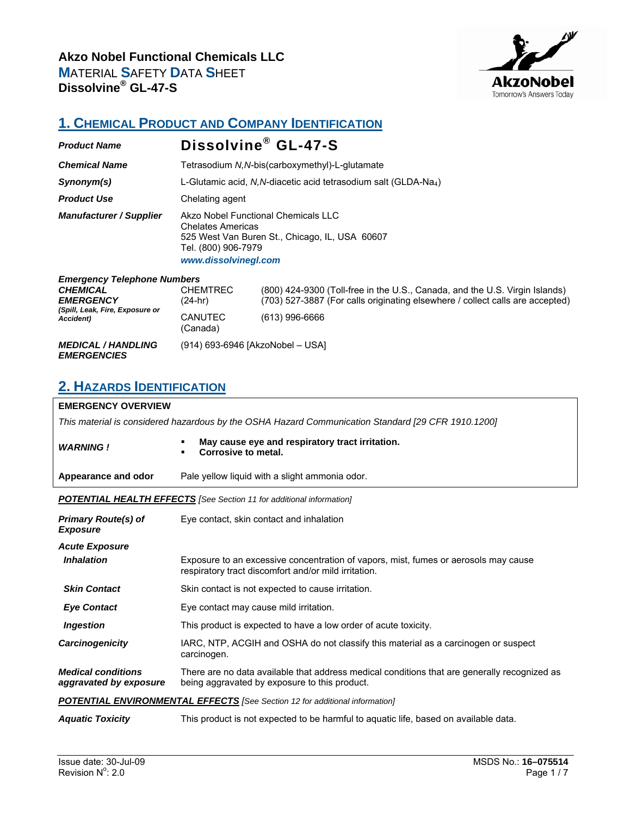

### **1. CHEMICAL PRODUCT AND COMPANY IDENTIFICATION**

| <b>Product Name</b>                                                                                                               |                                                                                                                                                                  | Dissolvine <sup>®</sup> GL-47-S                                                                                                                                                |  |
|-----------------------------------------------------------------------------------------------------------------------------------|------------------------------------------------------------------------------------------------------------------------------------------------------------------|--------------------------------------------------------------------------------------------------------------------------------------------------------------------------------|--|
| <b>Chemical Name</b>                                                                                                              | Tetrasodium N, N-bis (carboxymethyl)-L-glutamate                                                                                                                 |                                                                                                                                                                                |  |
| Synonym(s)                                                                                                                        | L-Glutamic acid, N,N-diacetic acid tetrasodium salt (GLDA-Na <sub>4</sub> )                                                                                      |                                                                                                                                                                                |  |
| <b>Product Use</b>                                                                                                                | Chelating agent                                                                                                                                                  |                                                                                                                                                                                |  |
| <b>Manufacturer / Supplier</b>                                                                                                    | Akzo Nobel Functional Chemicals LLC<br><b>Chelates Americas</b><br>525 West Van Buren St., Chicago, IL, USA 60607<br>Tel. (800) 906-7979<br>www.dissolvinegl.com |                                                                                                                                                                                |  |
| <b>Emergency Telephone Numbers</b><br><b>CHEMICAL</b><br><b>EMERGENCY</b><br>(Spill, Leak, Fire, Exposure or<br><b>Accident</b> ) | <b>CHEMTREC</b><br>$(24-hr)$<br><b>CANUTEC</b><br>(Canada)                                                                                                       | (800) 424-9300 (Toll-free in the U.S., Canada, and the U.S. Virgin Islands)<br>(703) 527-3887 (For calls originating elsewhere / collect calls are accepted)<br>(613) 996-6666 |  |
| <b>MEDICAL / HANDLING</b><br><b>EMERGENCIES</b>                                                                                   | (914) 693-6946 [AkzoNobel – USA]                                                                                                                                 |                                                                                                                                                                                |  |

### **2. HAZARDS IDENTIFICATION**

### **EMERGENCY OVERVIEW** *This material is considered hazardous by the OSHA Hazard Communication Standard [29 CFR 1910.1200] WARNING !* **May cause eye and respiratory tract irritation. Corrosive to metal. Appearance and odor** Pale yellow liquid with a slight ammonia odor. *POTENTIAL HEALTH EFFECTS [See Section 11 for additional information] Primary Route(s) of Exposure*  Eye contact, skin contact and inhalation *Acute Exposure* **Inhalation Exposure to an excessive concentration of vapors, mist, fumes or aerosols may cause** respiratory tract discomfort and/or mild irritation. **Skin Contact** Skin contact is not expected to cause irritation. **Eye Contact** Eye contact may cause mild irritation. *Ingestion* This product is expected to have a low order of acute toxicity. *Carcinogenicity* IARC, NTP, ACGIH and OSHA do not classify this material as a carcinogen or suspect carcinogen. *Medical conditions aggravated by exposure*  There are no data available that address medical conditions that are generally recognized as being aggravated by exposure to this product. *POTENTIAL ENVIRONMENTAL EFFECTS [See Section 12 for additional information] Aquatic Toxicity* This product is not expected to be harmful to aquatic life, based on available data.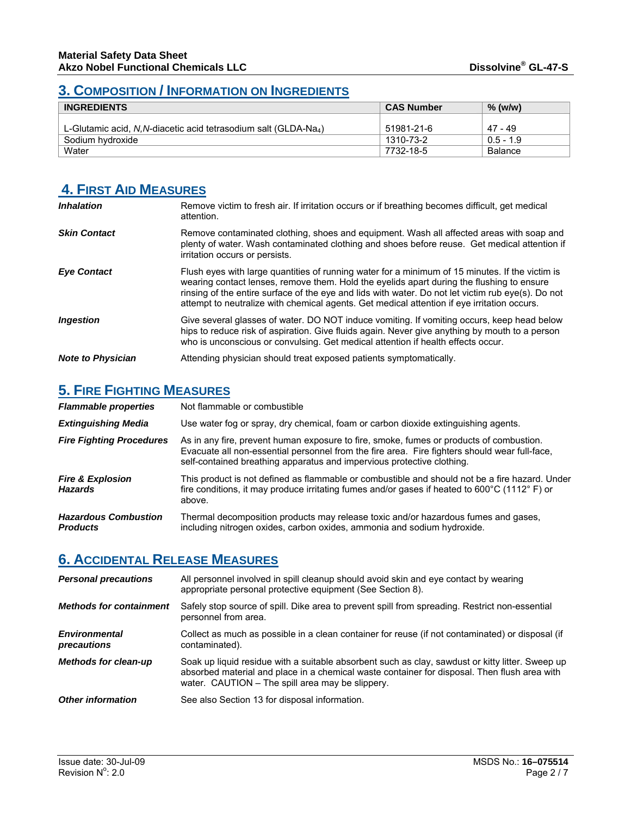### **3. COMPOSITION / INFORMATION ON INGREDIENTS**

| <b>INGREDIENTS</b>                                                           | <b>CAS Number</b> | $%$ (w/w)      |
|------------------------------------------------------------------------------|-------------------|----------------|
| L-Glutamic acid, N, N-diacetic acid tetrasodium salt (GLDA-Na <sub>4</sub> ) | 51981-21-6        | 47 - 49        |
| Sodium hydroxide                                                             | 1310-73-2         | $0.5 - 1.9$    |
| Water                                                                        | 7732-18-5         | <b>Balance</b> |

# **4. FIRST AID MEASURES**

| <b>Inhalation</b>        | Remove victim to fresh air. If irritation occurs or if breathing becomes difficult, get medical<br>attention.                                                                                                                                                                                                                                                                                     |
|--------------------------|---------------------------------------------------------------------------------------------------------------------------------------------------------------------------------------------------------------------------------------------------------------------------------------------------------------------------------------------------------------------------------------------------|
| <b>Skin Contact</b>      | Remove contaminated clothing, shoes and equipment. Wash all affected areas with soap and<br>plenty of water. Wash contaminated clothing and shoes before reuse. Get medical attention if<br>irritation occurs or persists.                                                                                                                                                                        |
| <b>Eye Contact</b>       | Flush eyes with large quantities of running water for a minimum of 15 minutes. If the victim is<br>wearing contact lenses, remove them. Hold the eyelids apart during the flushing to ensure<br>rinsing of the entire surface of the eye and lids with water. Do not let victim rub eye(s). Do not<br>attempt to neutralize with chemical agents. Get medical attention if eye irritation occurs. |
| <i><b>Ingestion</b></i>  | Give several glasses of water. DO NOT induce vomiting. If vomiting occurs, keep head below<br>hips to reduce risk of aspiration. Give fluids again. Never give anything by mouth to a person<br>who is unconscious or convulsing. Get medical attention if health effects occur.                                                                                                                  |
| <b>Note to Physician</b> | Attending physician should treat exposed patients symptomatically.                                                                                                                                                                                                                                                                                                                                |

### **5. FIRE FIGHTING MEASURES**

| <b>Flammable properties</b>                    | Not flammable or combustible                                                                                                                                                                                                                                       |
|------------------------------------------------|--------------------------------------------------------------------------------------------------------------------------------------------------------------------------------------------------------------------------------------------------------------------|
| <b>Extinguishing Media</b>                     | Use water fog or spray, dry chemical, foam or carbon dioxide extinguishing agents.                                                                                                                                                                                 |
| <b>Fire Fighting Procedures</b>                | As in any fire, prevent human exposure to fire, smoke, fumes or products of combustion.<br>Evacuate all non-essential personnel from the fire area. Fire fighters should wear full-face.<br>self-contained breathing apparatus and impervious protective clothing. |
| <b>Fire &amp; Explosion</b><br><b>Hazards</b>  | This product is not defined as flammable or combustible and should not be a fire hazard. Under<br>fire conditions, it may produce irritating fumes and/or gases if heated to 600 $\degree$ C (1112 $\degree$ F) or<br>above.                                       |
| <b>Hazardous Combustion</b><br><b>Products</b> | Thermal decomposition products may release toxic and/or hazardous fumes and gases,<br>including nitrogen oxides, carbon oxides, ammonia and sodium hydroxide.                                                                                                      |

## **6. ACCIDENTAL RELEASE MEASURES**

| <b>Personal precautions</b>         | All personnel involved in spill cleanup should avoid skin and eye contact by wearing<br>appropriate personal protective equipment (See Section 8).                                                                                                   |
|-------------------------------------|------------------------------------------------------------------------------------------------------------------------------------------------------------------------------------------------------------------------------------------------------|
| <b>Methods for containment</b>      | Safely stop source of spill. Dike area to prevent spill from spreading. Restrict non-essential<br>personnel from area.                                                                                                                               |
| <b>Environmental</b><br>precautions | Collect as much as possible in a clean container for reuse (if not contaminated) or disposal (if<br>contaminated).                                                                                                                                   |
| <b>Methods for clean-up</b>         | Soak up liquid residue with a suitable absorbent such as clay, sawdust or kitty litter. Sweep up<br>absorbed material and place in a chemical waste container for disposal. Then flush area with<br>water. CAUTION – The spill area may be slippery. |
| <b>Other information</b>            | See also Section 13 for disposal information.                                                                                                                                                                                                        |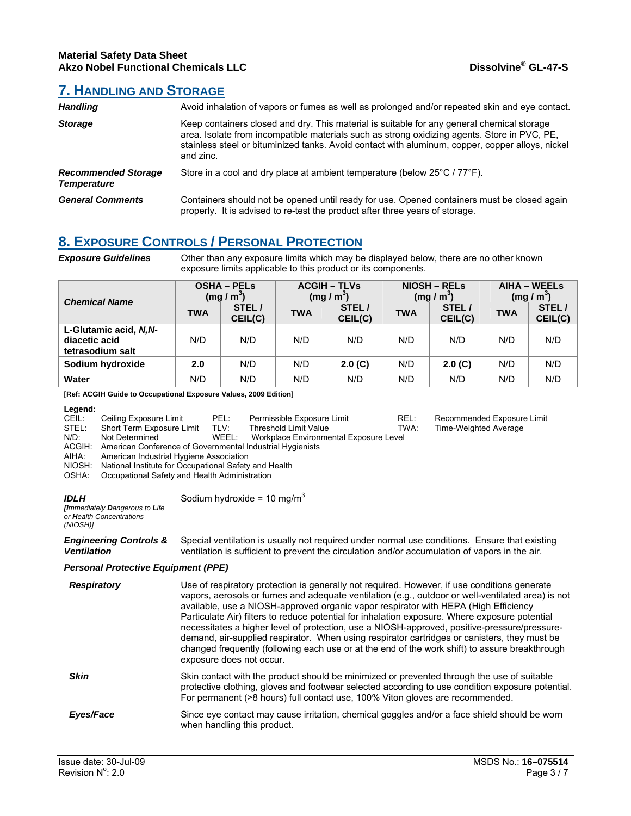REL: Recommended Exposure Limit TWA: Time-Weighted Average Time-Weighted Average

### **7. HANDLING AND STORAGE**

| <b>Handling</b>                                  | Avoid inhalation of vapors or fumes as well as prolonged and/or repeated skin and eye contact.                                                                                                                                                                                                              |
|--------------------------------------------------|-------------------------------------------------------------------------------------------------------------------------------------------------------------------------------------------------------------------------------------------------------------------------------------------------------------|
| <b>Storage</b>                                   | Keep containers closed and dry. This material is suitable for any general chemical storage<br>area. Isolate from incompatible materials such as strong oxidizing agents. Store in PVC, PE,<br>stainless steel or bituminized tanks. Avoid contact with aluminum, copper, copper alloys, nickel<br>and zinc. |
| <b>Recommended Storage</b><br><b>Temperature</b> | Store in a cool and dry place at ambient temperature (below 25°C / 77°F).                                                                                                                                                                                                                                   |
| <b>General Comments</b>                          | Containers should not be opened until ready for use. Opened containers must be closed again<br>properly. It is advised to re-test the product after three years of storage.                                                                                                                                 |

# **8. EXPOSURE CONTROLS / PERSONAL PROTECTION**

*Exposure Guidelines* Other than any exposure limits which may be displayed below, there are no other known exposure limits applicable to this product or its components.

| <b>Chemical Name</b>                                       | <b>OSHA - PELS</b><br>(mg/m <sup>3</sup> ) |                  | <b>ACGIH – TLVs</b><br>(mg/m <sup>3</sup> ) |                  | <b>NIOSH – RELS</b><br>(mg/m <sup>3</sup> ) |                  | AIHA – WEELS<br>(mg/m <sup>3</sup> ) |                  |
|------------------------------------------------------------|--------------------------------------------|------------------|---------------------------------------------|------------------|---------------------------------------------|------------------|--------------------------------------|------------------|
|                                                            | TWA                                        | STEL/<br>CEIL(C) | <b>TWA</b>                                  | STEL/<br>CEIL(C) | <b>TWA</b>                                  | STEL/<br>CEIL(C) | <b>TWA</b>                           | STEL/<br>CEIL(C) |
| L-Glutamic acid, N.N-<br>diacetic acid<br>tetrasodium salt | N/D                                        | N/D              | N/D                                         | N/D              | N/D                                         | N/D              | N/D                                  | N/D              |
| Sodium hydroxide                                           | 2.0                                        | N/D              | N/D                                         | 2.0(G)           | N/D                                         | 2.0(G)           | N/D                                  | N/D              |
| Water                                                      | N/D                                        | N/D              | N/D                                         | N/D              | N/D                                         | N/D              | N/D                                  | N/D              |

#### **[Ref: ACGIH Guide to Occupational Exposure Values, 2009 Edition]**

**Legend:**

|         | Legena. |                                                           |       |                                        |    |
|---------|---------|-----------------------------------------------------------|-------|----------------------------------------|----|
| CEIL:   |         | Ceiling Exposure Limit                                    | PEL:  | Permissible Exposure Limit             | RE |
| STEL:   |         | Short Term Exposure Limit                                 | TLV:  | Threshold Limit Value                  | T۷ |
| $N/D$ : |         | Not Determined                                            | WEEL: | Workplace Environmental Exposure Level |    |
|         | ACGIH:  | American Conference of Governmental Industrial Hygienists |       |                                        |    |
| AIHA:   |         | American Industrial Hygiene Association                   |       |                                        |    |
|         |         |                                                           |       |                                        |    |

NIOSH: National Institute for Occupational Safety and Health

OSHA: Occupational Safety and Health Administration

*IDLH* 

*Ventilation* 

Sodium hydroxide =  $10 \text{ mg/m}^3$ 

*[Immediately Dangerous to Life or Health Concentrations (NIOSH)]*

*Engineering Controls &*  Special ventilation is usually not required under normal use conditions. Ensure that existing ventilation is sufficient to prevent the circulation and/or accumulation of vapors in the air.

#### *Personal Protective Equipment (PPE)*

| <b>Respiratory</b> | Use of respiratory protection is generally not required. However, if use conditions generate<br>vapors, aerosols or fumes and adequate ventilation (e.g., outdoor or well-ventilated area) is not<br>available, use a NIOSH-approved organic vapor respirator with HEPA (High Efficiency<br>Particulate Air) filters to reduce potential for inhalation exposure. Where exposure potential<br>necessitates a higher level of protection, use a NIOSH-approved, positive-pressure/pressure-<br>demand, air-supplied respirator. When using respirator cartridges or canisters, they must be<br>changed frequently (following each use or at the end of the work shift) to assure breakthrough<br>exposure does not occur. |
|--------------------|--------------------------------------------------------------------------------------------------------------------------------------------------------------------------------------------------------------------------------------------------------------------------------------------------------------------------------------------------------------------------------------------------------------------------------------------------------------------------------------------------------------------------------------------------------------------------------------------------------------------------------------------------------------------------------------------------------------------------|
| <b>Skin</b>        | Skin contact with the product should be minimized or prevented through the use of suitable<br>protective clothing, gloves and footwear selected according to use condition exposure potential.<br>For permanent (>8 hours) full contact use, 100% Viton gloves are recommended.                                                                                                                                                                                                                                                                                                                                                                                                                                          |
| Eyes/Face          | Since eye contact may cause irritation, chemical goggles and/or a face shield should be worn<br>when handling this product.                                                                                                                                                                                                                                                                                                                                                                                                                                                                                                                                                                                              |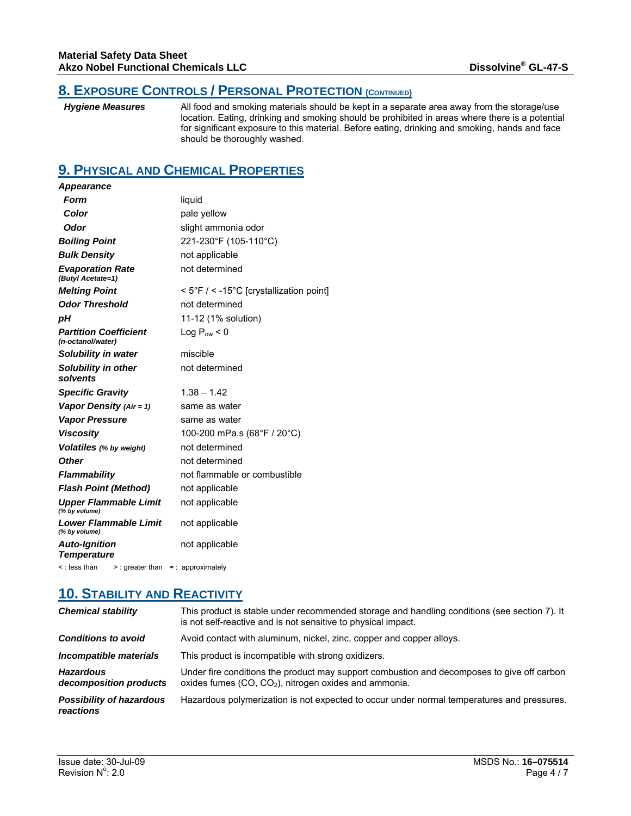### **8. EXPOSURE CONTROLS / PERSONAL PROTECTION (CONTINUED)**

*Hygiene Measures* All food and smoking materials should be kept in a separate area away from the storage/use location. Eating, drinking and smoking should be prohibited in areas where there is a potential for significant exposure to this material. Before eating, drinking and smoking, hands and face should be thoroughly washed.

### **9. PHYSICAL AND CHEMICAL PROPERTIES**

| <b>Appearance</b>                                 |                                             |
|---------------------------------------------------|---------------------------------------------|
| Form                                              | liquid                                      |
| Color                                             | pale yellow                                 |
| Odor                                              | slight ammonia odor                         |
| <b>Boiling Point</b>                              | 221-230°F (105-110°C)                       |
| <b>Bulk Density</b>                               | not applicable                              |
| <b>Evaporation Rate</b><br>(Butyl Acetate=1)      | not determined                              |
| <b>Melting Point</b>                              | $<$ 5°F / $<$ -15°C [crystallization point] |
| <b>Odor Threshold</b>                             | not determined                              |
| рH                                                | 11-12 (1% solution)                         |
| <b>Partition Coefficient</b><br>(n-octanol/water) | Log $P_{\text{ow}}$ < 0                     |
| Solubility in water                               | miscible                                    |
| Solubility in other<br>solvents                   | not determined                              |
| <b>Specific Gravity</b>                           | $1.38 - 1.42$                               |
| Vapor Density (Air = 1)                           | same as water                               |
| <b>Vapor Pressure</b>                             | same as water                               |
| <b>Viscosity</b>                                  | 100-200 mPa.s (68°F / 20°C)                 |
| <b>Volatiles</b> (% by weight)                    | not determined                              |
| <b>Other</b>                                      | not determined                              |
| <b>Flammability</b>                               | not flammable or combustible                |
| <b>Flash Point (Method)</b>                       | not applicable                              |
| <b>Upper Flammable Limit</b><br>(% by volume)     | not applicable                              |
| <b>Lower Flammable Limit</b><br>(% by volume)     | not applicable                              |
| <b>Auto-Ignition</b><br><b>Temperature</b>        | not applicable                              |

< : less than > : greater than ≈ : approximately

## **10. STABILITY AND REACTIVITY**

| <b>Chemical stability</b>                    | This product is stable under recommended storage and handling conditions (see section 7). It<br>is not self-reactive and is not sensitive to physical impact. |
|----------------------------------------------|---------------------------------------------------------------------------------------------------------------------------------------------------------------|
| <b>Conditions to avoid</b>                   | Avoid contact with aluminum, nickel, zinc, copper and copper alloys.                                                                                          |
| Incompatible materials                       | This product is incompatible with strong oxidizers.                                                                                                           |
| <b>Hazardous</b><br>decomposition products   | Under fire conditions the product may support combustion and decomposes to give off carbon<br>oxides fumes $(CO, CO2)$ , nitrogen oxides and ammonia.         |
| <b>Possibility of hazardous</b><br>reactions | Hazardous polymerization is not expected to occur under normal temperatures and pressures.                                                                    |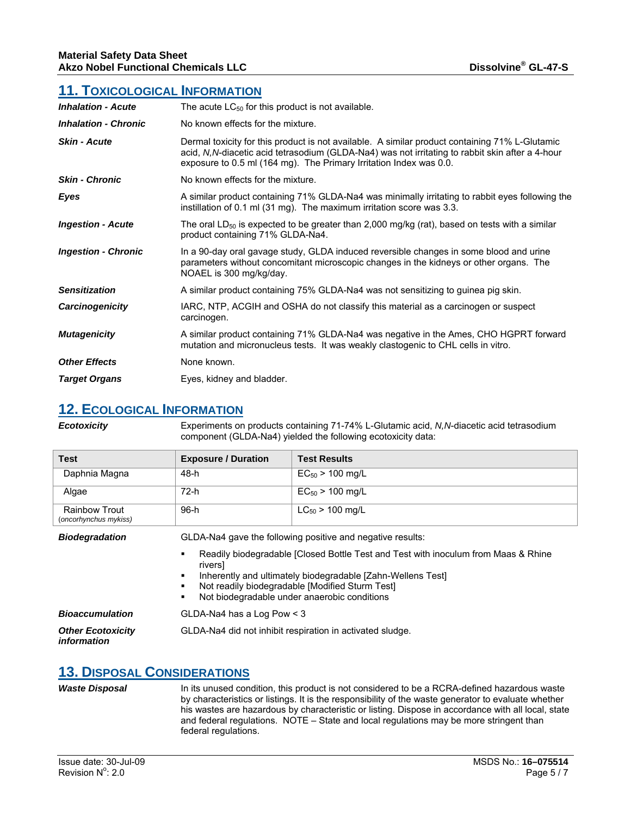#### **11. TOXICOLOGICAL INFORMATION**

| <b>Inhalation - Acute</b>   | The acute $LC_{50}$ for this product is not available.                                                                                                                                                                                                                   |
|-----------------------------|--------------------------------------------------------------------------------------------------------------------------------------------------------------------------------------------------------------------------------------------------------------------------|
| <b>Inhalation - Chronic</b> | No known effects for the mixture.                                                                                                                                                                                                                                        |
| <b>Skin - Acute</b>         | Dermal toxicity for this product is not available. A similar product containing 71% L-Glutamic<br>acid, N, N-diacetic acid tetrasodium (GLDA-Na4) was not irritating to rabbit skin after a 4-hour<br>exposure to 0.5 ml (164 mg). The Primary Irritation Index was 0.0. |
| <b>Skin - Chronic</b>       | No known effects for the mixture.                                                                                                                                                                                                                                        |
| Eyes                        | A similar product containing 71% GLDA-Na4 was minimally irritating to rabbit eyes following the<br>instillation of 0.1 ml (31 mg). The maximum irritation score was 3.3.                                                                                                 |
| <b>Ingestion - Acute</b>    | The oral $LD_{50}$ is expected to be greater than 2,000 mg/kg (rat), based on tests with a similar<br>product containing 71% GLDA-Na4.                                                                                                                                   |
| <b>Ingestion - Chronic</b>  | In a 90-day oral gavage study, GLDA induced reversible changes in some blood and urine<br>parameters without concomitant microscopic changes in the kidneys or other organs. The<br>NOAEL is 300 mg/kg/day.                                                              |
| <b>Sensitization</b>        | A similar product containing 75% GLDA-Na4 was not sensitizing to guinea pig skin.                                                                                                                                                                                        |
| Carcinogenicity             | IARC, NTP, ACGIH and OSHA do not classify this material as a carcinogen or suspect<br>carcinogen.                                                                                                                                                                        |
| <b>Mutagenicity</b>         | A similar product containing 71% GLDA-Na4 was negative in the Ames, CHO HGPRT forward<br>mutation and micronucleus tests. It was weakly clastogenic to CHL cells in vitro.                                                                                               |
| <b>Other Effects</b>        | None known.                                                                                                                                                                                                                                                              |
| <b>Target Organs</b>        | Eyes, kidney and bladder.                                                                                                                                                                                                                                                |

### **12. ECOLOGICAL INFORMATION**

*Ecotoxicity* Experiments on products containing 71-74% L-Glutamic acid, *N,N*-diacetic acid tetrasodium component (GLDA-Na4) yielded the following ecotoxicity data:

| Test                                          | <b>Exposure / Duration</b> | <b>Test Results</b>  |
|-----------------------------------------------|----------------------------|----------------------|
| Daphnia Magna                                 | 48-h                       | $EC_{50}$ > 100 mg/L |
| Algae                                         | 72-h                       | $EC_{50}$ > 100 mg/L |
| <b>Rainbow Trout</b><br>(oncorhynchus mykiss) | 96-h                       | $LC_{50}$ > 100 mg/L |

**Biodegradation GLDA-Na4 gave the following positive and negative results:** 

- Readily biodegradable [Closed Bottle Test and Test with inoculum from Maas & Rhine rivers]
- Inherently and ultimately biodegradable [Zahn-Wellens Test]
- Not readily biodegradable [Modified Sturm Test]
- Not biodegradable under anaerobic conditions
- *Bioaccumulation* GLDA-Na4 has a Log Pow < 3

*Other Ecotoxicity information*  GLDA-Na4 did not inhibit respiration in activated sludge.

#### **13. DISPOSAL CONSIDERATIONS**

*Waste Disposal* In its unused condition, this product is not considered to be a RCRA-defined hazardous waste by characteristics or listings. It is the responsibility of the waste generator to evaluate whether his wastes are hazardous by characteristic or listing. Dispose in accordance with all local, state and federal regulations. NOTE – State and local regulations may be more stringent than federal regulations.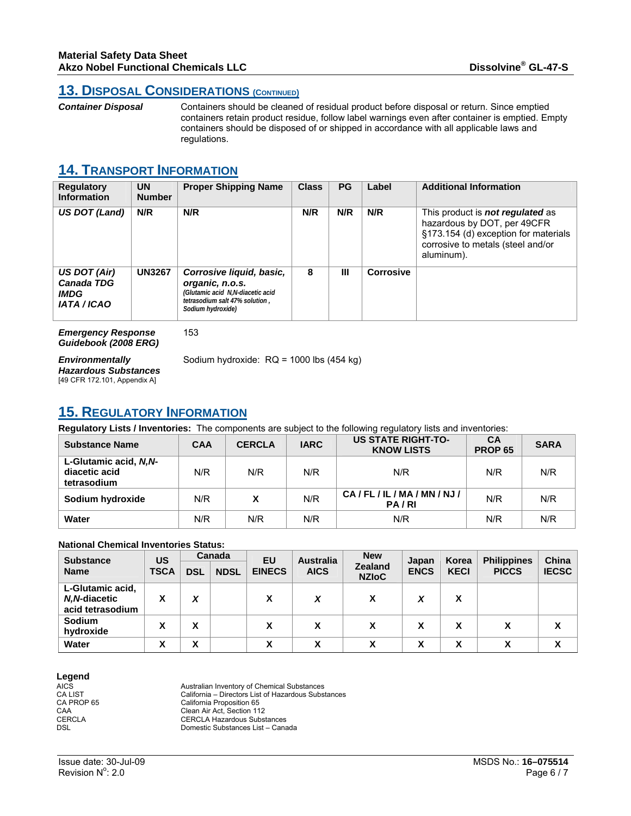### **13. DISPOSAL CONSIDERATIONS (CONTINUED)**

*Container Disposal* Containers should be cleaned of residual product before disposal or return. Since emptied containers retain product residue, follow label warnings even after container is emptied. Empty containers should be disposed of or shipped in accordance with all applicable laws and regulations.

### **14. TRANSPORT INFORMATION**

| <b>Regulatory</b><br><b>Information</b>                                | <b>UN</b><br><b>Number</b> | <b>Proper Shipping Name</b>                                                                                                            | <b>Class</b> | <b>PG</b> | Label     | <b>Additional Information</b>                                                                                                                                     |
|------------------------------------------------------------------------|----------------------------|----------------------------------------------------------------------------------------------------------------------------------------|--------------|-----------|-----------|-------------------------------------------------------------------------------------------------------------------------------------------------------------------|
| US DOT (Land)                                                          | N/R                        | N/R                                                                                                                                    | N/R          | N/R       | N/R       | This product is <b>not regulated</b> as<br>hazardous by DOT, per 49CFR<br>§173.154 (d) exception for materials<br>corrosive to metals (steel and/or<br>aluminum). |
| US DOT (Air)<br><b>Canada TDG</b><br><b>IMDG</b><br><b>IATA / ICAO</b> | <b>UN3267</b>              | Corrosive liquid, basic,<br>organic, n.o.s.<br>(Glutamic acid N,N-diacetic acid<br>tetrasodium salt 47% solution.<br>Sodium hydroxide) | 8            | Ш         | Corrosive |                                                                                                                                                                   |

*Emergency Response Guidebook (2008 ERG)* 153

*Environmentally Hazardous Substances*  [49 CFR 172.101, Appendix A]

Sodium hydroxide: RQ = 1000 lbs (454 kg)

## **15. REGULATORY INFORMATION**

**Regulatory Lists / Inventories:** The components are subject to the following regulatory lists and inventories:

| <b>Substance Name</b>                                 | <b>CAA</b> | <b>CERCLA</b> | <b>IARC</b> | <b>US STATE RIGHT-TO-</b><br><b>KNOW LISTS</b> | CA<br><b>PROP 65</b> | <b>SARA</b> |
|-------------------------------------------------------|------------|---------------|-------------|------------------------------------------------|----------------------|-------------|
| L-Glutamic acid, N.N-<br>diacetic acid<br>tetrasodium | N/R        | N/R           | N/R         | N/R                                            | N/R                  | N/R         |
| Sodium hydroxide                                      | N/R        | χ             | N/R         | CA/FL/IL/MA/MN/NJ/<br>PA/RI                    | N/R                  | N/R         |
| Water                                                 | N/R        | N/R           | N/R         | N/R                                            | N/R                  | N/R         |

#### **National Chemical Inventories Status:**

| <b>Substance</b> | US          |            | Canada      |               | EU<br><b>Australia</b> |                                | Japan       | Korea       | <b>Philippines</b> | China        |
|------------------|-------------|------------|-------------|---------------|------------------------|--------------------------------|-------------|-------------|--------------------|--------------|
| <b>Name</b>      | <b>TSCA</b> | <b>DSL</b> | <b>NDSL</b> | <b>EINECS</b> | <b>AICS</b>            | <b>Zealand</b><br><b>NZIOC</b> | <b>ENCS</b> | <b>KECI</b> | <b>PICCS</b>       | <b>IECSC</b> |
| L-Glutamic acid, |             |            |             |               |                        |                                |             |             |                    |              |
| N.N-diacetic     |             | X          |             | χ             | X                      | x                              | X           | X           |                    |              |
| acid tetrasodium |             |            |             |               |                        |                                |             |             |                    |              |
| <b>Sodium</b>    | х           | χ          |             | x             | х                      | х                              | X           | x           |                    | х            |
| hydroxide        |             |            |             |               |                        |                                |             |             |                    |              |
| Water            | X           | v<br>ᄉ     |             | χ             | X                      | X                              | χ           | χ           |                    | X            |

# **Legend**

AICS<br>
Australian Inventory of Chemical Substances<br>
CA LIST California – Directors List of Hazardous Subst CA LIST California – Directors List of Hazardous Substances<br>CA PROP 65 California Proposition 65 CA PROP 65 California Proposition 65<br>
CAA Clean Air Act, Section 11<br>
CERCLA CERCLA Hazardous Sub Clean Air Act, Section 112 CERCLA CERCLA CERCLA Hazardous Substances<br>
Domestic Substances I ist – Cana Domestic Substances List – Canada